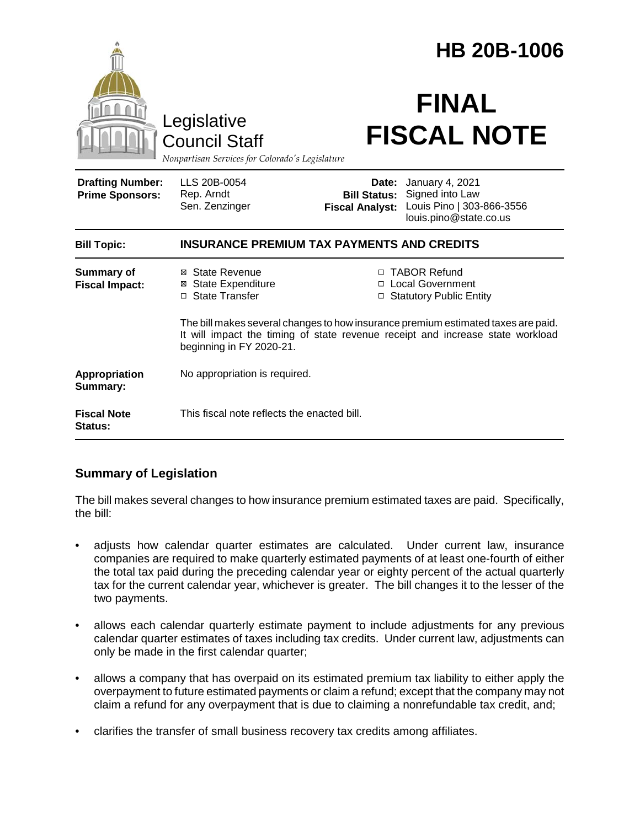|                                                                                        |                                                                                                                                                                                                 |                                               | <b>HB 20B-1006</b>                                                                              |  |
|----------------------------------------------------------------------------------------|-------------------------------------------------------------------------------------------------------------------------------------------------------------------------------------------------|-----------------------------------------------|-------------------------------------------------------------------------------------------------|--|
| Legislative<br><b>Council Staff</b><br>Nonpartisan Services for Colorado's Legislature |                                                                                                                                                                                                 | <b>FINAL</b><br><b>FISCAL NOTE</b>            |                                                                                                 |  |
| <b>Drafting Number:</b><br><b>Prime Sponsors:</b>                                      | LLS 20B-0054<br>Rep. Arndt<br>Sen. Zenzinger                                                                                                                                                    | <b>Bill Status:</b><br><b>Fiscal Analyst:</b> | Date: January 4, 2021<br>Signed into Law<br>Louis Pino   303-866-3556<br>louis.pino@state.co.us |  |
| <b>Bill Topic:</b>                                                                     | <b>INSURANCE PREMIUM TAX PAYMENTS AND CREDITS</b>                                                                                                                                               |                                               |                                                                                                 |  |
| <b>Summary of</b><br><b>Fiscal Impact:</b>                                             | ⊠ State Revenue<br><b>State Expenditure</b><br>⊠<br>□ State Transfer                                                                                                                            |                                               | □ TABOR Refund<br>□ Local Government<br>□ Statutory Public Entity                               |  |
|                                                                                        | The bill makes several changes to how insurance premium estimated taxes are paid.<br>It will impact the timing of state revenue receipt and increase state workload<br>beginning in FY 2020-21. |                                               |                                                                                                 |  |
| Appropriation<br>Summary:                                                              | No appropriation is required.                                                                                                                                                                   |                                               |                                                                                                 |  |
| <b>Fiscal Note</b><br>Status:                                                          | This fiscal note reflects the enacted bill.                                                                                                                                                     |                                               |                                                                                                 |  |

# **Summary of Legislation**

The bill makes several changes to how insurance premium estimated taxes are paid. Specifically, the bill:

- adjusts how calendar quarter estimates are calculated. Under current law, insurance companies are required to make quarterly estimated payments of at least one-fourth of either the total tax paid during the preceding calendar year or eighty percent of the actual quarterly tax for the current calendar year, whichever is greater. The bill changes it to the lesser of the two payments.
- allows each calendar quarterly estimate payment to include adjustments for any previous calendar quarter estimates of taxes including tax credits. Under current law, adjustments can only be made in the first calendar quarter;
- allows a company that has overpaid on its estimated premium tax liability to either apply the overpayment to future estimated payments or claim a refund; except that the company may not claim a refund for any overpayment that is due to claiming a nonrefundable tax credit, and;
- clarifies the transfer of small business recovery tax credits among affiliates.